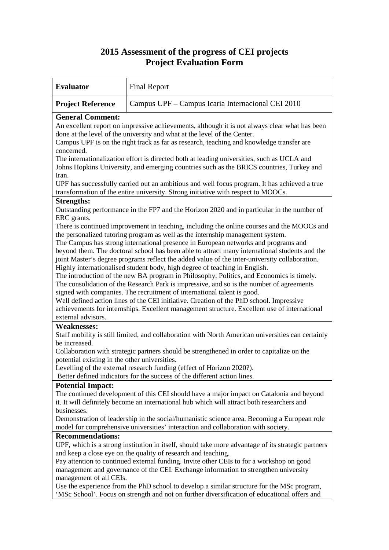## **2015 Assessment of the progress of CEI projects Project Evaluation Form**

| <b>Evaluator</b><br><b>Final Report</b>                                                                                                                                                                                                                                                                                                                                                                                                                                                                                                                                                                                                                                                                                                                                                                                                                                                                                                                                                                                                            |  |  |
|----------------------------------------------------------------------------------------------------------------------------------------------------------------------------------------------------------------------------------------------------------------------------------------------------------------------------------------------------------------------------------------------------------------------------------------------------------------------------------------------------------------------------------------------------------------------------------------------------------------------------------------------------------------------------------------------------------------------------------------------------------------------------------------------------------------------------------------------------------------------------------------------------------------------------------------------------------------------------------------------------------------------------------------------------|--|--|
| Campus UPF – Campus Icaria Internacional CEI 2010<br><b>Project Reference</b>                                                                                                                                                                                                                                                                                                                                                                                                                                                                                                                                                                                                                                                                                                                                                                                                                                                                                                                                                                      |  |  |
| <b>General Comment:</b><br>An excellent report on impressive achievements, although it is not always clear what has been<br>done at the level of the university and what at the level of the Center.<br>Campus UPF is on the right track as far as research, teaching and knowledge transfer are<br>concerned.<br>The internationalization effort is directed both at leading universities, such as UCLA and<br>Johns Hopkins University, and emerging countries such as the BRICS countries, Turkey and<br>Iran.<br>UPF has successfully carried out an ambitious and well focus program. It has achieved a true                                                                                                                                                                                                                                                                                                                                                                                                                                  |  |  |
| transformation of the entire university. Strong initiative with respect to MOOCs.                                                                                                                                                                                                                                                                                                                                                                                                                                                                                                                                                                                                                                                                                                                                                                                                                                                                                                                                                                  |  |  |
| <b>Strengths:</b><br>Outstanding performance in the FP7 and the Horizon 2020 and in particular in the number of<br>ERC grants.<br>There is continued improvement in teaching, including the online courses and the MOOCs and<br>the personalized tutoring program as well as the internship management system.<br>The Campus has strong international presence in European networks and programs and<br>beyond them. The doctoral school has been able to attract many international students and the<br>joint Master's degree programs reflect the added value of the inter-university collaboration.<br>Highly internationalised student body, high degree of teaching in English.<br>The introduction of the new BA program in Philosophy, Politics, and Economics is timely.<br>The consolidation of the Research Park is impressive, and so is the number of agreements<br>signed with companies. The recruitment of international talent is good.<br>Well defined action lines of the CEI initiative. Creation of the PhD school. Impressive |  |  |
| achievements for internships. Excellent management structure. Excellent use of international<br>external advisors.                                                                                                                                                                                                                                                                                                                                                                                                                                                                                                                                                                                                                                                                                                                                                                                                                                                                                                                                 |  |  |
| <b>Weaknesses:</b><br>Staff mobility is still limited, and collaboration with North American universities can certainly<br>be increased.<br>Collaboration with strategic partners should be strengthened in order to capitalize on the<br>potential existing in the other universities.<br>Levelling of the external research funding (effect of Horizon 2020?).<br>Better defined indicators for the success of the different action lines.                                                                                                                                                                                                                                                                                                                                                                                                                                                                                                                                                                                                       |  |  |
| <b>Potential Impact:</b>                                                                                                                                                                                                                                                                                                                                                                                                                                                                                                                                                                                                                                                                                                                                                                                                                                                                                                                                                                                                                           |  |  |
| The continued development of this CEI should have a major impact on Catalonia and beyond<br>it. It will definitely become an international hub which will attract both researchers and<br>businesses.<br>Demonstration of leadership in the social/humanistic science area. Becoming a European role<br>model for comprehensive universities' interaction and collaboration with society.                                                                                                                                                                                                                                                                                                                                                                                                                                                                                                                                                                                                                                                          |  |  |
| <b>Recommendations:</b>                                                                                                                                                                                                                                                                                                                                                                                                                                                                                                                                                                                                                                                                                                                                                                                                                                                                                                                                                                                                                            |  |  |
| UPF, which is a strong institution in itself, should take more advantage of its strategic partners<br>and keep a close eye on the quality of research and teaching.<br>Pay attention to continued external funding. Invite other CEIs to for a workshop on good<br>management and governance of the CEI. Exchange information to strengthen university<br>management of all CEIs.<br>Use the experience from the PhD school to develop a similar structure for the MSc program,<br>'MSc School'. Focus on strength and not on further diversification of educational offers and                                                                                                                                                                                                                                                                                                                                                                                                                                                                    |  |  |